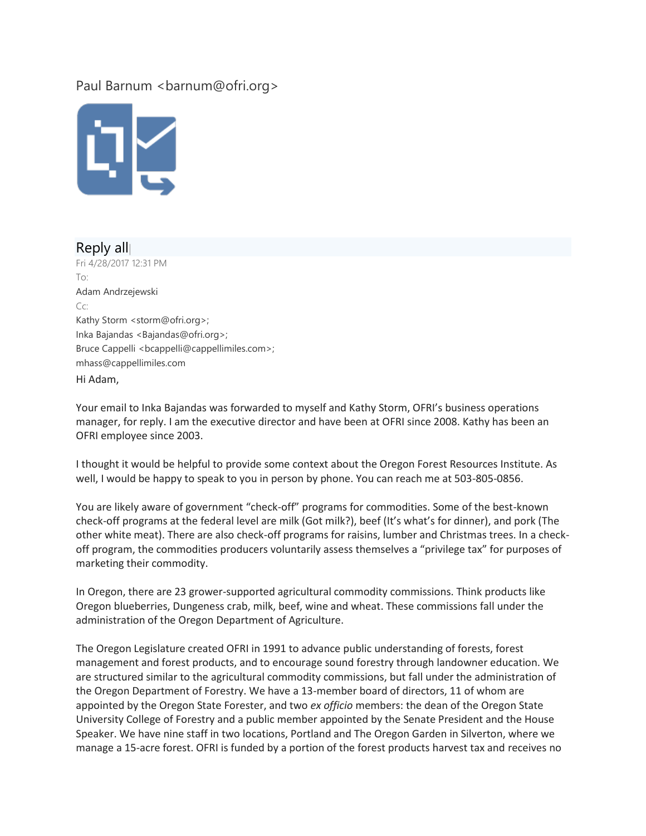## Paul Barnum <br/>barnum@ofri.org>



## Reply all| Fri 4/28/2017 12:31 PM To: Adam Andrzejewski Cc: Kathy Storm <storm@ofri.org>; Inka Bajandas <Bajandas@ofri.org>; Bruce Cappelli <bcappelli@cappellimiles.com>; mhass@cappellimiles.com Hi Adam,

Your email to Inka Bajandas was forwarded to myself and Kathy Storm, OFRI's business operations manager, for reply. I am the executive director and have been at OFRI since 2008. Kathy has been an OFRI employee since 2003.

I thought it would be helpful to provide some context about the Oregon Forest Resources Institute. As well, I would be happy to speak to you in person by phone. You can reach me at 503-805-0856.

You are likely aware of government "check-off" programs for commodities. Some of the best-known check-off programs at the federal level are milk (Got milk?), beef (It's what's for dinner), and pork (The other white meat). There are also check-off programs for raisins, lumber and Christmas trees. In a checkoff program, the commodities producers voluntarily assess themselves a "privilege tax" for purposes of marketing their commodity.

In Oregon, there are 23 grower-supported agricultural commodity commissions. Think products like Oregon blueberries, Dungeness crab, milk, beef, wine and wheat. These commissions fall under the administration of the Oregon Department of Agriculture.

The Oregon Legislature created OFRI in 1991 to advance public understanding of forests, forest management and forest products, and to encourage sound forestry through landowner education. We are structured similar to the agricultural commodity commissions, but fall under the administration of the Oregon Department of Forestry. We have a 13-member board of directors, 11 of whom are appointed by the Oregon State Forester, and two *ex officio* members: the dean of the Oregon State University College of Forestry and a public member appointed by the Senate President and the House Speaker. We have nine staff in two locations, Portland and The Oregon Garden in Silverton, where we manage a 15-acre forest. OFRI is funded by a portion of the forest products harvest tax and receives no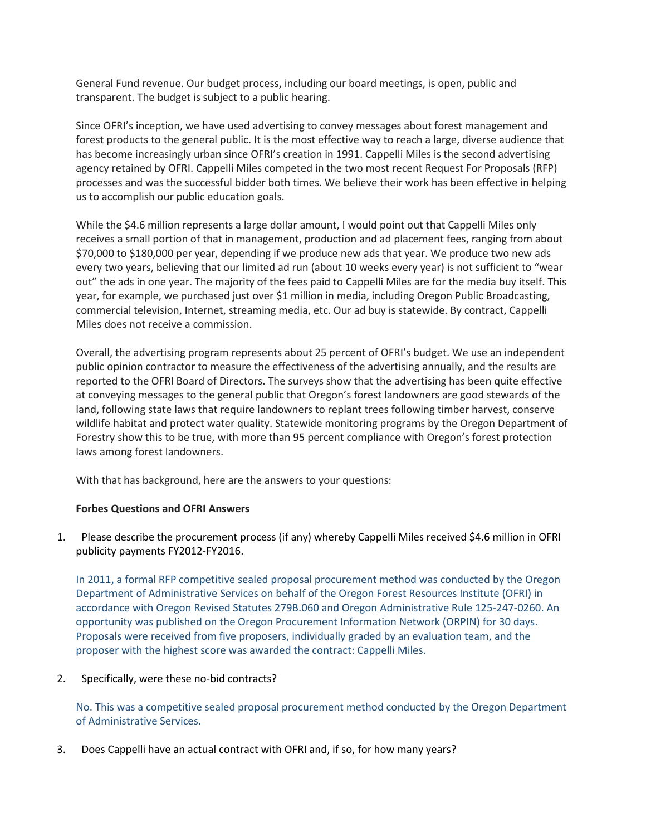General Fund revenue. Our budget process, including our board meetings, is open, public and transparent. The budget is subject to a public hearing.

Since OFRI's inception, we have used advertising to convey messages about forest management and forest products to the general public. It is the most effective way to reach a large, diverse audience that has become increasingly urban since OFRI's creation in 1991. Cappelli Miles is the second advertising agency retained by OFRI. Cappelli Miles competed in the two most recent Request For Proposals (RFP) processes and was the successful bidder both times. We believe their work has been effective in helping us to accomplish our public education goals.

While the \$4.6 million represents a large dollar amount, I would point out that Cappelli Miles only receives a small portion of that in management, production and ad placement fees, ranging from about \$70,000 to \$180,000 per year, depending if we produce new ads that year. We produce two new ads every two years, believing that our limited ad run (about 10 weeks every year) is not sufficient to "wear out" the ads in one year. The majority of the fees paid to Cappelli Miles are for the media buy itself. This year, for example, we purchased just over \$1 million in media, including Oregon Public Broadcasting, commercial television, Internet, streaming media, etc. Our ad buy is statewide. By contract, Cappelli Miles does not receive a commission.

Overall, the advertising program represents about 25 percent of OFRI's budget. We use an independent public opinion contractor to measure the effectiveness of the advertising annually, and the results are reported to the OFRI Board of Directors. The surveys show that the advertising has been quite effective at conveying messages to the general public that Oregon's forest landowners are good stewards of the land, following state laws that require landowners to replant trees following timber harvest, conserve wildlife habitat and protect water quality. Statewide monitoring programs by the Oregon Department of Forestry show this to be true, with more than 95 percent compliance with Oregon's forest protection laws among forest landowners.

With that has background, here are the answers to your questions:

## **Forbes Questions and OFRI Answers**

1. Please describe the procurement process (if any) whereby Cappelli Miles received \$4.6 million in OFRI publicity payments FY2012-FY2016.

In 2011, a formal RFP competitive sealed proposal procurement method was conducted by the Oregon Department of Administrative Services on behalf of the Oregon Forest Resources Institute (OFRI) in accordance with Oregon Revised Statutes 279B.060 and Oregon Administrative Rule 125-247-0260. An opportunity was published on the Oregon Procurement Information Network (ORPIN) for 30 days. Proposals were received from five proposers, individually graded by an evaluation team, and the proposer with the highest score was awarded the contract: Cappelli Miles.

## 2. Specifically, were these no-bid contracts?

No. This was a competitive sealed proposal procurement method conducted by the Oregon Department of Administrative Services.

3. Does Cappelli have an actual contract with OFRI and, if so, for how many years?